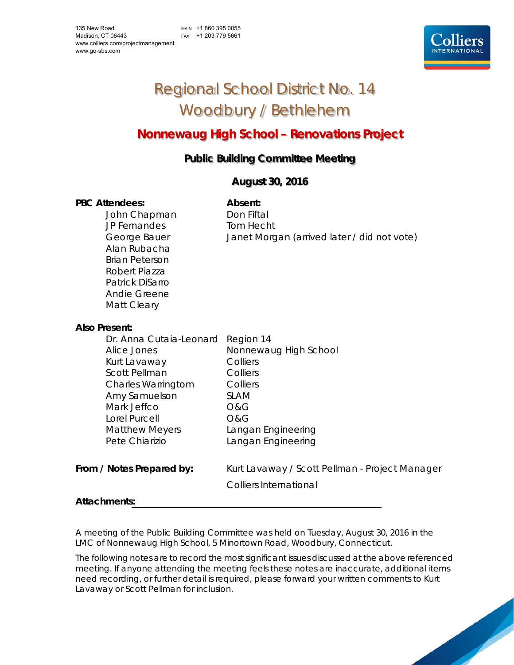MAIN +1 860 395 0055 FAX +1 203 779 5661



# Regional School District No. 14 Woodbury / Bethlehem

# **Nonnewaug High School – Renovations Project**

# **Public Building Committee Meeting**

## **August 30, 2016**

#### PBC Attendees: **Absent: Absent:**

John Chapman Don Fiftal JP Fernandes Tom Hecht Alan Rubacha Brian Peterson Robert Piazza Patrick DiSarro Andie Greene Matt Cleary

George Bauer Janet Morgan (arrived later / did not vote)

### **Also Present:**

| Dr. Anna Cutaia-Leonard   | Region 14                                      |
|---------------------------|------------------------------------------------|
| Alice Jones               | Nonnewaug High School                          |
| Kurt Lavaway              | Colliers                                       |
| Scott Pellman             | Colliers                                       |
| <b>Charles Warringtom</b> | Colliers                                       |
| Amy Samuelson             | <b>SLAM</b>                                    |
| Mark Jeffco               | O&G                                            |
| Lorel Purcell             | <b>O&amp;G</b>                                 |
| <b>Matthew Meyers</b>     | Langan Engineering                             |
| Pete Chiarizio            | Langan Engineering                             |
|                           |                                                |
| From / Notes Prepared by: | Kurt Lavaway / Scott Pellman - Project Manager |
|                           | Colliers International                         |
|                           |                                                |

#### **Attachments:**

A meeting of the Public Building Committee was held on Tuesday, August 30, 2016 in the LMC of Nonnewaug High School, 5 Minortown Road, Woodbury, Connecticut.

The following notes are to record the most significant issues discussed at the above referenced meeting. If anyone attending the meeting feels these notes are inaccurate, additional items need recording, or further detail is required, please forward your written comments to Kurt Lavaway or Scott Pellman for inclusion.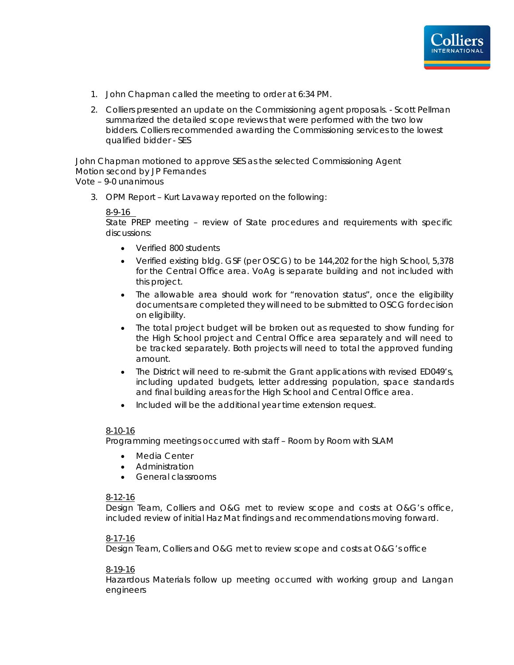

- 1. John Chapman called the meeting to order at 6:34 PM.
- 2. Colliers presented an update on the Commissioning agent proposals. Scott Pellman summarized the detailed scope reviews that were performed with the two low bidders. Colliers recommended awarding the Commissioning services to the lowest qualified bidder - SES

John Chapman motioned to approve SES as the selected Commissioning Agent Motion second by JP Fernandes Vote – 9-0 unanimous

3. OPM Report – Kurt Lavaway reported on the following:

#### 8-9-16

State PREP meeting – review of State procedures and requirements with specific discussions:

- Verified 800 students
- Verified existing bldg. GSF (per OSCG) to be 144,202 for the high School, 5,378 for the Central Office area. VoAg is separate building and not included with this project.
- The allowable area should work for "renovation status", once the eligibility documents are completed they will need to be submitted to OSCG for decision on eligibility.
- The total project budget will be broken out as requested to show funding for the High School project and Central Office area separately and will need to be tracked separately. Both projects will need to total the approved funding amount.
- The District will need to re-submit the Grant applications with revised ED049's, including updated budgets, letter addressing population, space standards and final building areas for the High School and Central Office area.
- Included will be the additional year time extension request.

#### 8-10-16

Programming meetings occurred with staff – Room by Room with SLAM

- Media Center
- Administration
- General classrooms

#### 8-12-16

Design Team, Colliers and O&G met to review scope and costs at O&G's office, included review of initial Haz Mat findings and recommendations moving forward.

#### 8-17-16

Design Team, Colliers and O&G met to review scope and costs at O&G's office

#### 8-19-16

Hazardous Materials follow up meeting occurred with working group and Langan engineers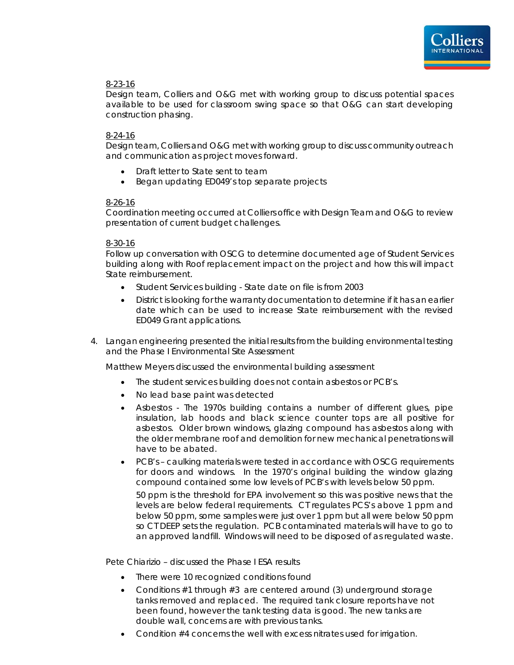

#### 8-23-16

Design team, Colliers and O&G met with working group to discuss potential spaces available to be used for classroom swing space so that O&G can start developing construction phasing.

#### 8-24-16

Design team, Colliers and O&G met with working group to discuss community outreach and communication as project moves forward.

- Draft letter to State sent to team
- Began updating ED049's top separate projects

#### 8-26-16

Coordination meeting occurred at Colliers office with Design Team and O&G to review presentation of current budget challenges.

#### 8-30-16

Follow up conversation with OSCG to determine documented age of Student Services building along with Roof replacement impact on the project and how this will impact State reimbursement.

- Student Services building State date on file is from 2003
- District is looking for the warranty documentation to determine if it has an earlier date which can be used to increase State reimbursement with the revised ED049 Grant applications.
- 4. Langan engineering presented the initial results from the building environmental testing and the Phase I Environmental Site Assessment

Matthew Meyers discussed the environmental building assessment

- The student services building does not contain asbestos or PCB's.
- No lead base paint was detected
- Asbestos The 1970s building contains a number of different glues, pipe insulation, lab hoods and black science counter tops are all positive for asbestos. Older brown windows, glazing compound has asbestos along with the older membrane roof and demolition for new mechanical penetrations will have to be abated.
- PCB's caulking materials were tested in accordance with OSCG requirements for doors and windows. In the 1970's original building the window glazing compound contained some low levels of PCB's with levels below 50 ppm.

50 ppm is the threshold for EPA involvement so this was positive news that the levels are below federal requirements. CT regulates PCS's above 1 ppm and below 50 ppm, some samples were just over 1 ppm but all were below 50 ppm so CT DEEP sets the regulation. PCB contaminated materials will have to go to an approved landfill. Windows will need to be disposed of as regulated waste.

Pete Chiarizio – discussed the Phase I ESA results

- There were 10 recognized conditions found
- Conditions #1 through #3 are centered around (3) underground storage tanks removed and replaced. The required tank closure reports have not been found, however the tank testing data is good. The new tanks are double wall, concerns are with previous tanks.
- Condition #4 concerns the well with excess nitrates used for irrigation.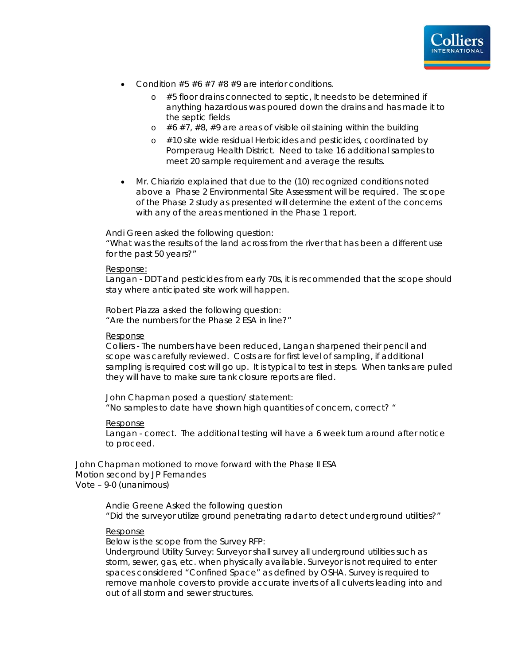

- Condition  $#5 #6 #7 #8 #9$  are interior conditions.
	- o #5 floor drains connected to septic, It needs to be determined if anything hazardous was poured down the drains and has made it to the septic fields
	- $\circ$  #6 #7, #8, #9 are areas of visible oil staining within the building
	- o #10 site wide residual Herbicides and pesticides, coordinated by Pomperaug Health District. Need to take 16 additional samples to meet 20 sample requirement and average the results.
- Mr. Chiarizio explained that due to the (10) recognized conditions noted above a Phase 2 Environmental Site Assessment will be required. The scope of the Phase 2 study as presented will determine the extent of the concerns with any of the areas mentioned in the Phase 1 report.

Andi Green asked the following question:

"What was the results of the land across from the river that has been a different use for the past 50 years?"

#### Response:

Langan - DDT and pesticides from early 70s, it is recommended that the scope should stay where anticipated site work will happen.

Robert Piazza asked the following question: "Are the numbers for the Phase 2 ESA in line?"

#### Response

Colliers - The numbers have been reduced, Langan sharpened their pencil and scope was carefully reviewed. Costs are for first level of sampling, if additional sampling is required cost will go up. It is typical to test in steps. When tanks are pulled they will have to make sure tank closure reports are filed.

John Chapman posed a question/ statement: "No samples to date have shown high quantities of concern, correct? "

#### Response

Langan - correct. The additional testing will have a 6 week turn around after notice to proceed.

John Chapman motioned to move forward with the Phase II ESA Motion second by JP Fernandes Vote – 9-0 (unanimous)

> Andie Greene Asked the following question "Did the surveyor utilize ground penetrating radar to detect underground utilities?"

#### Response

Below is the scope from the Survey RFP: *Underground Utility Survey: Surveyor shall survey all underground utilities such as storm, sewer, gas, etc. when physically available. Surveyor is not required to enter spaces considered "Confined Space" as defined by OSHA. Survey is required to*  remove manhole covers to provide accurate inverts of all culverts leading into and *out of all storm and sewer structures.*